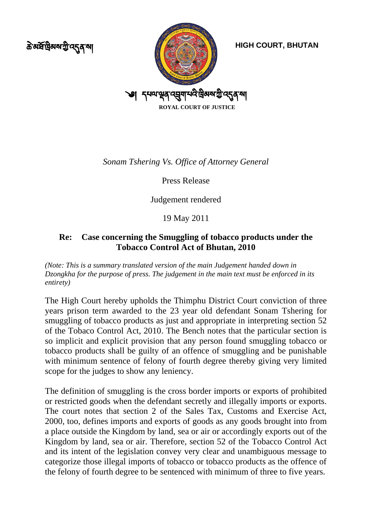ক্ৰ<sup>ু</sup> মৰ্ষণ্ট্ৰমৰুগীত বৰ্ত্ত ৰা



**HIGH COURT, BHUTAN**

*Sonam Tshering Vs. Office of Attorney General*

Press Release

Judgement rendered

19 May 2011

## **Re: Case concerning the Smuggling of tobacco products under the Tobacco Control Act of Bhutan, 2010**

*(Note: This is a summary translated version of the main Judgement handed down in Dzongkha for the purpose of press. The judgement in the main text must be enforced in its entirety)* 

The High Court hereby upholds the Thimphu District Court conviction of three years prison term awarded to the 23 year old defendant Sonam Tshering for smuggling of tobacco products as just and appropriate in interpreting section 52 of the Tobaco Control Act, 2010. The Bench notes that the particular section is so implicit and explicit provision that any person found smuggling tobacco or tobacco products shall be guilty of an offence of smuggling and be punishable with minimum sentence of felony of fourth degree thereby giving very limited scope for the judges to show any leniency.

The definition of smuggling is the cross border imports or exports of prohibited or restricted goods when the defendant secretly and illegally imports or exports. The court notes that section 2 of the Sales Tax, Customs and Exercise Act, 2000, too, defines imports and exports of goods as any goods brought into from a place outside the Kingdom by land, sea or air or accordingly exports out of the Kingdom by land, sea or air. Therefore, section 52 of the Tobacco Control Act and its intent of the legislation convey very clear and unambiguous message to categorize those illegal imports of tobacco or tobacco products as the offence of the felony of fourth degree to be sentenced with minimum of three to five years.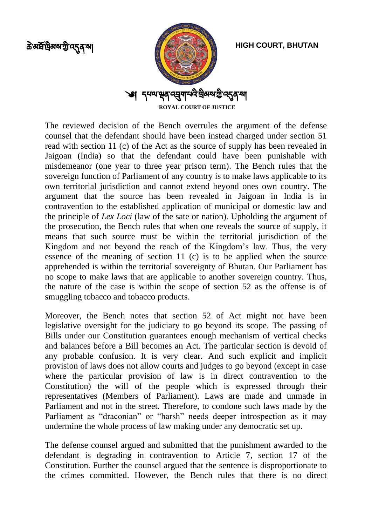ক্ৰম্বৰ্দ্ৰন্থিৰুৰ্ম্ম্মী ন্দোৰ্শ ৰা



**HIGH COURT, BHUTAN**

The reviewed decision of the Bench overrules the argument of the defense counsel that the defendant should have been instead charged under section 51 read with section 11 (c) of the Act as the source of supply has been revealed in Jaigoan (India) so that the defendant could have been punishable with misdemeanor (one year to three year prison term). The Bench rules that the sovereign function of Parliament of any country is to make laws applicable to its own territorial jurisdiction and cannot extend beyond ones own country. The argument that the source has been revealed in Jaigoan in India is in contravention to the established application of municipal or domestic law and the principle of *Lex Loci* (law of the sate or nation). Upholding the argument of the prosecution, the Bench rules that when one reveals the source of supply, it means that such source must be within the territorial jurisdiction of the Kingdom and not beyond the reach of the Kingdom's law. Thus, the very essence of the meaning of section 11 (c) is to be applied when the source apprehended is within the territorial sovereignty of Bhutan. Our Parliament has no scope to make laws that are applicable to another sovereign country. Thus, the nature of the case is within the scope of section 52 as the offense is of smuggling tobacco and tobacco products.

Moreover, the Bench notes that section 52 of Act might not have been legislative oversight for the judiciary to go beyond its scope. The passing of Bills under our Constitution guarantees enough mechanism of vertical checks and balances before a Bill becomes an Act. The particular section is devoid of any probable confusion. It is very clear. And such explicit and implicit provision of laws does not allow courts and judges to go beyond (except in case where the particular provision of law is in direct contravention to the Constitution) the will of the people which is expressed through their representatives (Members of Parliament). Laws are made and unmade in Parliament and not in the street. Therefore, to condone such laws made by the Parliament as "draconian" or "harsh" needs deeper introspection as it may undermine the whole process of law making under any democratic set up.

The defense counsel argued and submitted that the punishment awarded to the defendant is degrading in contravention to Article 7, section 17 of the Constitution. Further the counsel argued that the sentence is disproportionate to the crimes committed. However, the Bench rules that there is no direct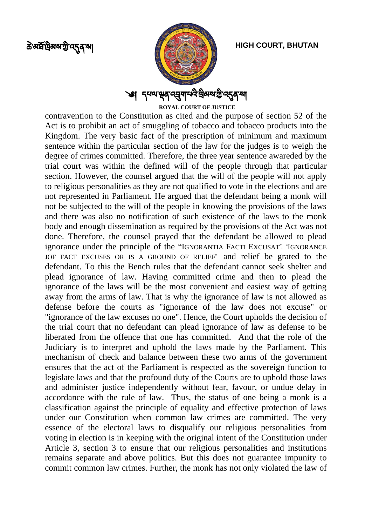

**ROYAL COURT OF JUSTICE**

**HIGH COURT, BHUTAN**

contravention to the Constitution as cited and the purpose of section 52 of the Act is to prohibit an act of smuggling of tobacco and tobacco products into the Kingdom. The very basic fact of the prescription of minimum and maximum sentence within the particular section of the law for the judges is to weigh the degree of crimes committed. Therefore, the three year sentence awareded by the trial court was within the defined will of the people through that particular section. However, the counsel argued that the will of the people will not apply to religious personalities as they are not qualified to vote in the elections and are not represented in Parliament. He argued that the defendant being a monk will not be subjected to the will of the people in knowing the provisions of the laws and there was also no notification of such existence of the laws to the monk body and enough dissemination as required by the provisions of the Act was not done. Therefore, the counsel prayed that the defendant be allowed to plead ignorance under the principle of the "IGNORANTIA FACTI EXCUSAT": "IGNORANCE JOF FACT EXCUSES OR IS A GROUND OF RELIEF" and relief be grated to the defendant. To this the Bench rules that the defendant cannot seek shelter and plead ignorance of law. Having committed crime and then to plead the ignorance of the laws will be the most convenient and easiest way of getting away from the arms of law. That is why the ignorance of law is not allowed as defense before the courts as "ignorance of the law does not excuse" or "ignorance of the law excuses no one". Hence, the Court upholds the decision of the trial court that no defendant can plead ignorance of law as defense to be liberated from the offence that one has committed. And that the role of the Judiciary is to interpret and uphold the laws made by the Parliament. This mechanism of check and balance between these two arms of the government ensures that the act of the Parliament is respected as the sovereign function to legislate laws and that the profound duty of the Courts are to uphold those laws and administer justice independently without fear, favour, or undue delay in accordance with the rule of law. Thus, the status of one being a monk is a classification against the principle of equality and effective protection of laws under our Constitution when common law crimes are committed. The very essence of the electoral laws to disqualify our religious personalities from voting in election is in keeping with the original intent of the Constitution under Article 3, section 3 to ensure that our religious personalities and institutions remains separate and above politics. But this does not guarantee impunity to commit common law crimes. Further, the monk has not only violated the law of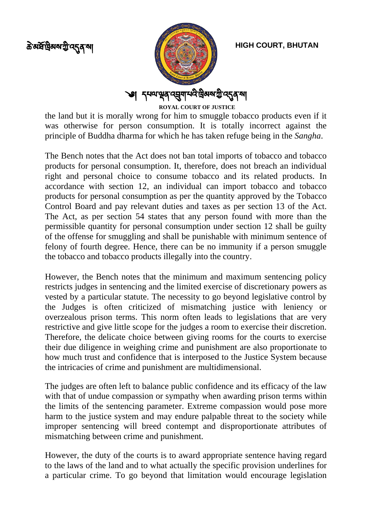

the land but it is morally wrong for him to smuggle tobacco products even if it was otherwise for person consumption. It is totally incorrect against the principle of Buddha dharma for which he has taken refuge being in the *Sangha*.

The Bench notes that the Act does not ban total imports of tobacco and tobacco products for personal consumption. It, therefore, does not breach an individual right and personal choice to consume tobacco and its related products. In accordance with section 12, an individual can import tobacco and tobacco products for personal consumption as per the quantity approved by the Tobacco Control Board and pay relevant duties and taxes as per section 13 of the Act. The Act, as per section 54 states that any person found with more than the permissible quantity for personal consumption under section 12 shall be guilty of the offense for smuggling and shall be punishable with minimum sentence of felony of fourth degree. Hence, there can be no immunity if a person smuggle the tobacco and tobacco products illegally into the country.

However, the Bench notes that the minimum and maximum sentencing policy restricts judges in sentencing and the limited exercise of discretionary powers as vested by a particular statute. The necessity to go beyond legislative control by the Judges is often criticized of mismatching justice with leniency or overzealous prison terms. This norm often leads to legislations that are very restrictive and give little scope for the judges a room to exercise their discretion. Therefore, the delicate choice between giving rooms for the courts to exercise their due diligence in weighing crime and punishment are also proportionate to how much trust and confidence that is interposed to the Justice System because the intricacies of crime and punishment are multidimensional.

The judges are often left to balance public confidence and its efficacy of the law with that of undue compassion or sympathy when awarding prison terms within the limits of the sentencing parameter. Extreme compassion would pose more harm to the justice system and may endure palpable threat to the society while improper sentencing will breed contempt and disproportionate attributes of mismatching between crime and punishment.

However, the duty of the courts is to award appropriate sentence having regard to the laws of the land and to what actually the specific provision underlines for a particular crime. To go beyond that limitation would encourage legislation